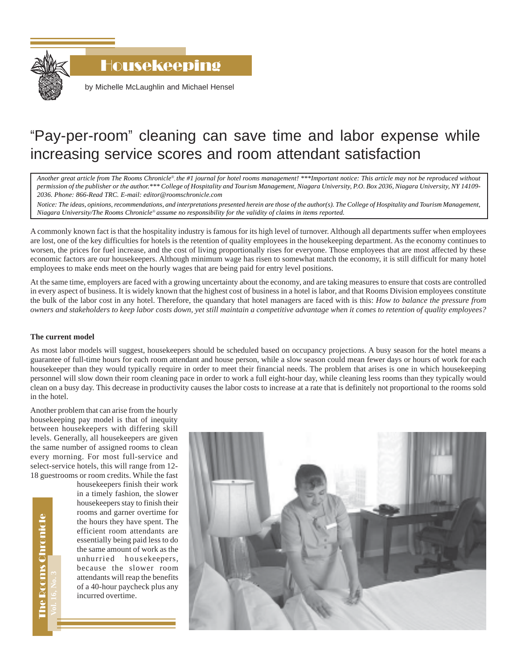

Housekeeping

by Michelle McLaughlin and Michael Hensel

# "Pay-per-room" cleaning can save time and labor expense while increasing service scores and room attendant satisfaction

*Another great article from The Rooms Chronicle*®*, the #1 journal for hotel rooms management! \*\*\*Important notice: This article may not be reproduced without permission of the publisher or the author.\*\*\* College of Hospitality and Tourism Management, Niagara University, P.O. Box 2036, Niagara University, NY 14109- 2036. Phone: 866-Read TRC. E-mail: editor@roomschronicle.com*

*Notice: The ideas, opinions, recommendations, and interpretations presented herein are those of the author(s). The College of Hospitality and Tourism Management, Niagara University/The Rooms Chronicle*® *assume no responsibility for the validity of claims in items reported.*

A commonly known fact is that the hospitality industry is famous for its high level of turnover. Although all departments suffer when employees are lost, one of the key difficulties for hotels is the retention of quality employees in the housekeeping department. As the economy continues to worsen, the prices for fuel increase, and the cost of living proportionally rises for everyone. Those employees that are most affected by these economic factors are our housekeepers. Although minimum wage has risen to somewhat match the economy, it is still difficult for many hotel employees to make ends meet on the hourly wages that are being paid for entry level positions.

At the same time, employers are faced with a growing uncertainty about the economy, and are taking measures to ensure that costs are controlled in every aspect of business. It is widely known that the highest cost of business in a hotel is labor, and that Rooms Division employees constitute the bulk of the labor cost in any hotel. Therefore, the quandary that hotel managers are faced with is this: *How to balance the pressure from owners and stakeholders to keep labor costs down, yet still maintain a competitive advantage when it comes to retention of quality employees?*

# **The current model**

As most labor models will suggest, housekeepers should be scheduled based on occupancy projections. A busy season for the hotel means a guarantee of full-time hours for each room attendant and house person, while a slow season could mean fewer days or hours of work for each housekeeper than they would typically require in order to meet their financial needs. The problem that arises is one in which housekeeping personnel will slow down their room cleaning pace in order to work a full eight-hour day, while cleaning less rooms than they typically would clean on a busy day. This decrease in productivity causes the labor costs to increase at a rate that is definitely not proportional to the rooms sold in the hotel.

Another problem that can arise from the hourly housekeeping pay model is that of inequity between housekeepers with differing skill levels. Generally, all housekeepers are given the same number of assigned rooms to clean every morning. For most full-service and select-service hotels, this will range from 12- 18 guestrooms or room credits. While the fast

housekeepers finish their work in a timely fashion, the slower housekeepers stay to finish their rooms and garner overtime for the hours they have spent. The efficient room attendants are essentially being paid less to do the same amount of work as the unhurried housekeepers, because the slower room attendants will reap the benefits of a 40-hour paycheck plus any incurred overtime.



The Rooms Chronicle The Rooms Chronicle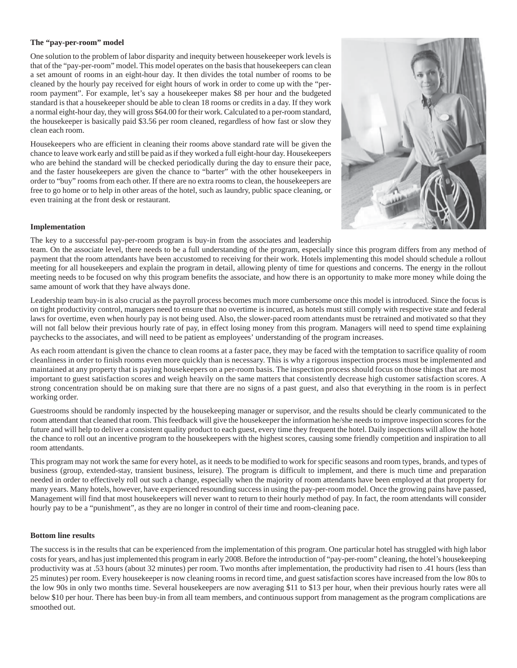### **The "pay-per-room" model**

One solution to the problem of labor disparity and inequity between housekeeper work levels is that of the "pay-per-room" model. This model operates on the basis that housekeepers can clean a set amount of rooms in an eight-hour day. It then divides the total number of rooms to be cleaned by the hourly pay received for eight hours of work in order to come up with the "perroom payment". For example, let's say a housekeeper makes \$8 per hour and the budgeted standard is that a housekeeper should be able to clean 18 rooms or credits in a day. If they work a normal eight-hour day, they will gross \$64.00 for their work. Calculated to a per-room standard, the housekeeper is basically paid \$3.56 per room cleaned, regardless of how fast or slow they clean each room.

Housekeepers who are efficient in cleaning their rooms above standard rate will be given the chance to leave work early and still be paid as if they worked a full eight-hour day. Housekeepers who are behind the standard will be checked periodically during the day to ensure their pace, and the faster housekeepers are given the chance to "barter" with the other housekeepers in order to "buy" rooms from each other. If there are no extra rooms to clean, the housekeepers are free to go home or to help in other areas of the hotel, such as laundry, public space cleaning, or even training at the front desk or restaurant.



#### **Implementation**

The key to a successful pay-per-room program is buy-in from the associates and leadership

team. On the associate level, there needs to be a full understanding of the program, especially since this program differs from any method of payment that the room attendants have been accustomed to receiving for their work. Hotels implementing this model should schedule a rollout meeting for all housekeepers and explain the program in detail, allowing plenty of time for questions and concerns. The energy in the rollout meeting needs to be focused on why this program benefits the associate, and how there is an opportunity to make more money while doing the same amount of work that they have always done.

Leadership team buy-in is also crucial as the payroll process becomes much more cumbersome once this model is introduced. Since the focus is on tight productivity control, managers need to ensure that no overtime is incurred, as hotels must still comply with respective state and federal laws for overtime, even when hourly pay is not being used. Also, the slower-paced room attendants must be retrained and motivated so that they will not fall below their previous hourly rate of pay, in effect losing money from this program. Managers will need to spend time explaining paychecks to the associates, and will need to be patient as employees' understanding of the program increases.

As each room attendant is given the chance to clean rooms at a faster pace, they may be faced with the temptation to sacrifice quality of room cleanliness in order to finish rooms even more quickly than is necessary. This is why a rigorous inspection process must be implemented and maintained at any property that is paying housekeepers on a per-room basis. The inspection process should focus on those things that are most important to guest satisfaction scores and weigh heavily on the same matters that consistently decrease high customer satisfaction scores. A strong concentration should be on making sure that there are no signs of a past guest, and also that everything in the room is in perfect working order.

Guestrooms should be randomly inspected by the housekeeping manager or supervisor, and the results should be clearly communicated to the room attendant that cleaned that room. This feedback will give the housekeeper the information he/she needs to improve inspection scores for the future and will help to deliver a consistent quality product to each guest, every time they frequent the hotel. Daily inspections will allow the hotel the chance to roll out an incentive program to the housekeepers with the highest scores, causing some friendly competition and inspiration to all room attendants.

This program may not work the same for every hotel, as it needs to be modified to work for specific seasons and room types, brands, and types of business (group, extended-stay, transient business, leisure). The program is difficult to implement, and there is much time and preparation needed in order to effectively roll out such a change, especially when the majority of room attendants have been employed at that property for many years. Many hotels, however, have experienced resounding success in using the pay-per-room model. Once the growing pains have passed, Management will find that most housekeepers will never want to return to their hourly method of pay. In fact, the room attendants will consider hourly pay to be a "punishment", as they are no longer in control of their time and room-cleaning pace.

# **Bottom line results**

The success is in the results that can be experienced from the implementation of this program. One particular hotel has struggled with high labor costs for years, and has just implemented this program in early 2008. Before the introduction of "pay-per-room" cleaning, the hotel's housekeeping productivity was at .53 hours (about 32 minutes) per room. Two months after implementation, the productivity had risen to .41 hours (less than 25 minutes) per room. Every housekeeper is now cleaning rooms in record time, and guest satisfaction scores have increased from the low 80s to the low 90s in only two months time. Several housekeepers are now averaging \$11 to \$13 per hour, when their previous hourly rates were all below \$10 per hour. There has been buy-in from all team members, and continuous support from management as the program complications are smoothed out.